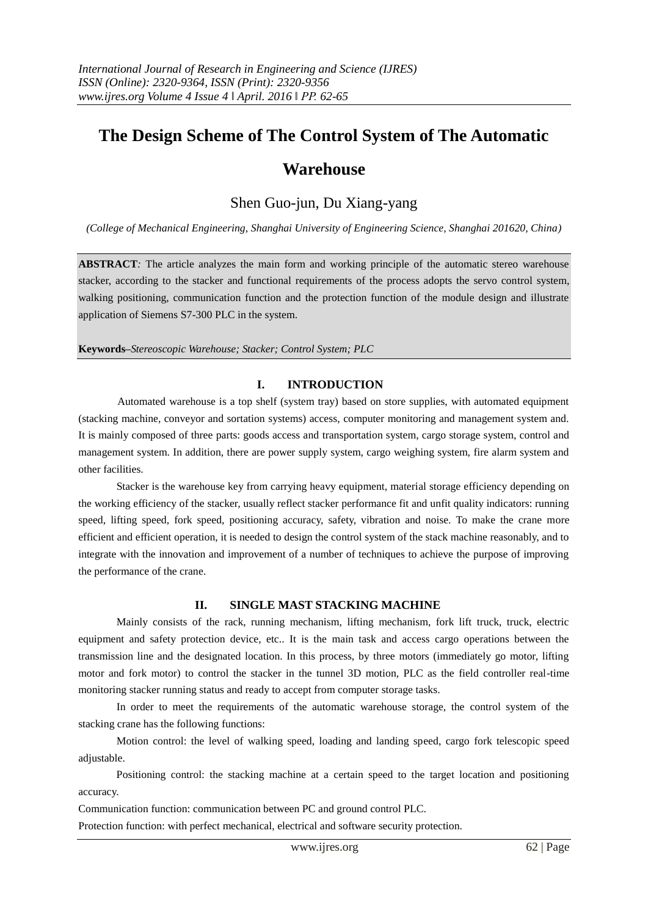# **The Design Scheme of The Control System of The Automatic**

## **Warehouse**

## Shen Guo-jun, Du Xiang-yang

*(College of Mechanical Engineering, Shanghai University of Engineering Science, Shanghai 201620, China)* 

**ABSTRACT***:* The article analyzes the main form and working principle of the automatic stereo warehouse stacker, according to the stacker and functional requirements of the process adopts the servo control system, walking positioning, communication function and the protection function of the module design and illustrate application of Siemens S7-300 PLC in the system.

**Keywords***–Stereoscopic Warehouse; Stacker; Control System; PLC*

## **I. INTRODUCTION**

 Automated warehouse is a top shelf (system tray) based on store supplies, with automated equipment (stacking machine, conveyor and sortation systems) access, computer monitoring and management system and. It is mainly composed of three parts: goods access and transportation system, cargo storage system, control and management system. In addition, there are power supply system, cargo weighing system, fire alarm system and other facilities.

 Stacker is the warehouse key from carrying heavy equipment, material storage efficiency depending on the working efficiency of the stacker, usually reflect stacker performance fit and unfit quality indicators: running speed, lifting speed, fork speed, positioning accuracy, safety, vibration and noise. To make the crane more efficient and efficient operation, it is needed to design the control system of the stack machine reasonably, and to integrate with the innovation and improvement of a number of techniques to achieve the purpose of improving the performance of the crane.

### **II. SINGLE MAST STACKING MACHINE**

 Mainly consists of the rack, running mechanism, lifting mechanism, fork lift truck, truck, electric equipment and safety protection device, etc.. It is the main task and access cargo operations between the transmission line and the designated location. In this process, by three motors (immediately go motor, lifting motor and fork motor) to control the stacker in the tunnel 3D motion, PLC as the field controller real-time monitoring stacker running status and ready to accept from computer storage tasks.

 In order to meet the requirements of the automatic warehouse storage, the control system of the stacking crane has the following functions:

 Motion control: the level of walking speed, loading and landing speed, cargo fork telescopic speed adjustable.

 Positioning control: the stacking machine at a certain speed to the target location and positioning accuracy.

Communication function: communication between PC and ground control PLC.

Protection function: with perfect mechanical, electrical and software security protection.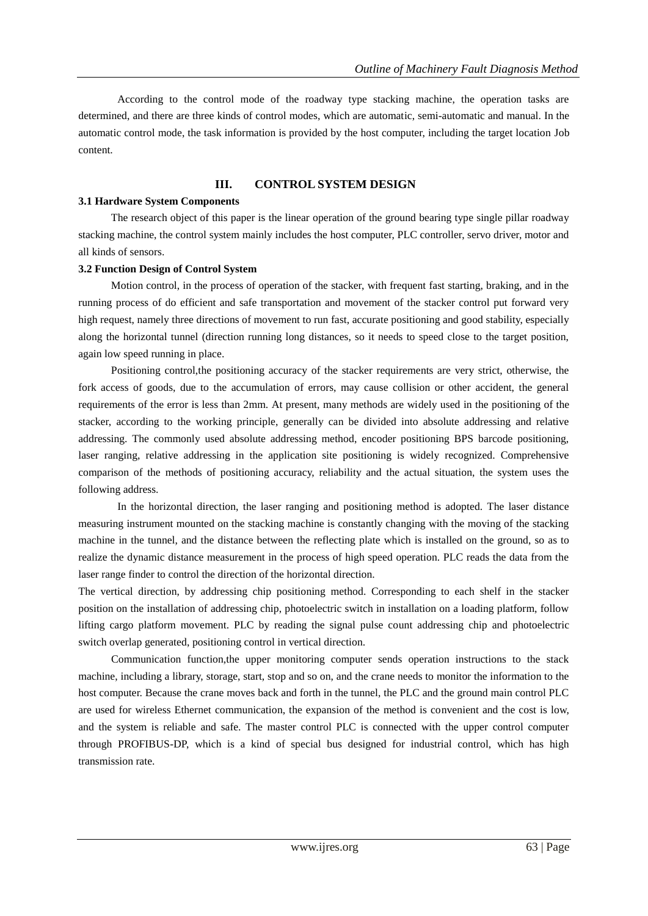According to the control mode of the roadway type stacking machine, the operation tasks are determined, and there are three kinds of control modes, which are automatic, semi-automatic and manual. In the automatic control mode, the task information is provided by the host computer, including the target location Job content.

## **III. CONTROL SYSTEM DESIGN**

#### **3.1 Hardware System Components**

 The research object of this paper is the linear operation of the ground bearing type single pillar roadway stacking machine, the control system mainly includes the host computer, PLC controller, servo driver, motor and all kinds of sensors.

#### **3.2 Function Design of Control System**

 Motion control, in the process of operation of the stacker, with frequent fast starting, braking, and in the running process of do efficient and safe transportation and movement of the stacker control put forward very high request, namely three directions of movement to run fast, accurate positioning and good stability, especially along the horizontal tunnel (direction running long distances, so it needs to speed close to the target position, again low speed running in place.

Positioning control,the positioning accuracy of the stacker requirements are very strict, otherwise, the fork access of goods, due to the accumulation of errors, may cause collision or other accident, the general requirements of the error is less than 2mm. At present, many methods are widely used in the positioning of the stacker, according to the working principle, generally can be divided into absolute addressing and relative addressing. The commonly used absolute addressing method, encoder positioning BPS barcode positioning, laser ranging, relative addressing in the application site positioning is widely recognized. Comprehensive comparison of the methods of positioning accuracy, reliability and the actual situation, the system uses the following address.

In the horizontal direction, the laser ranging and positioning method is adopted. The laser distance measuring instrument mounted on the stacking machine is constantly changing with the moving of the stacking machine in the tunnel, and the distance between the reflecting plate which is installed on the ground, so as to realize the dynamic distance measurement in the process of high speed operation. PLC reads the data from the laser range finder to control the direction of the horizontal direction.

The vertical direction, by addressing chip positioning method. Corresponding to each shelf in the stacker position on the installation of addressing chip, photoelectric switch in installation on a loading platform, follow lifting cargo platform movement. PLC by reading the signal pulse count addressing chip and photoelectric switch overlap generated, positioning control in vertical direction.

Communication function,the upper monitoring computer sends operation instructions to the stack machine, including a library, storage, start, stop and so on, and the crane needs to monitor the information to the host computer. Because the crane moves back and forth in the tunnel, the PLC and the ground main control PLC are used for wireless Ethernet communication, the expansion of the method is convenient and the cost is low, and the system is reliable and safe. The master control PLC is connected with the upper control computer through PROFIBUS-DP, which is a kind of special bus designed for industrial control, which has high transmission rate.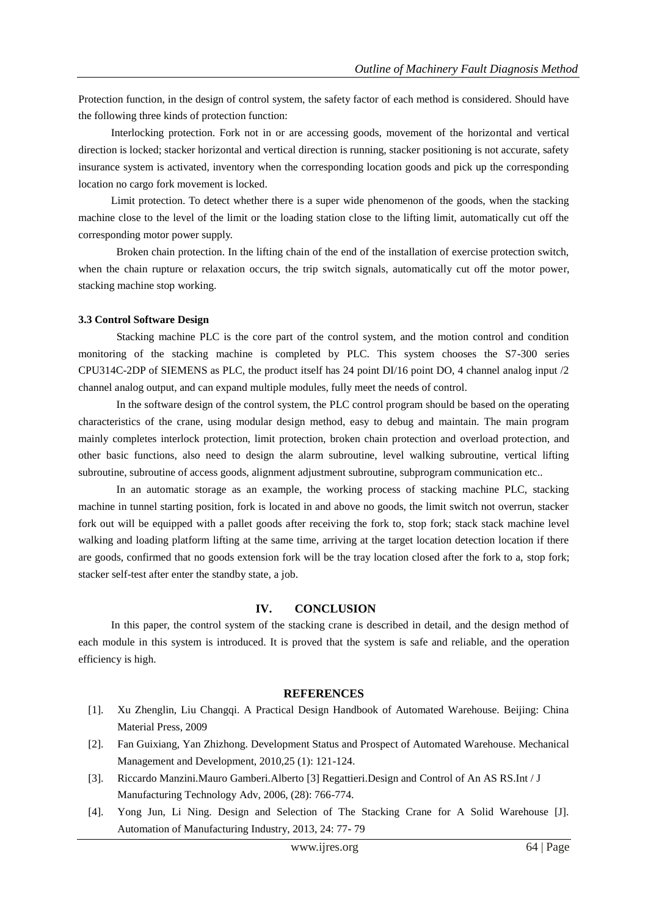Protection function, in the design of control system, the safety factor of each method is considered. Should have the following three kinds of protection function:

 Interlocking protection. Fork not in or are accessing goods, movement of the horizontal and vertical direction is locked; stacker horizontal and vertical direction is running, stacker positioning is not accurate, safety insurance system is activated, inventory when the corresponding location goods and pick up the corresponding location no cargo fork movement is locked.

 Limit protection. To detect whether there is a super wide phenomenon of the goods, when the stacking machine close to the level of the limit or the loading station close to the lifting limit, automatically cut off the corresponding motor power supply.

 Broken chain protection. In the lifting chain of the end of the installation of exercise protection switch, when the chain rupture or relaxation occurs, the trip switch signals, automatically cut off the motor power, stacking machine stop working.

#### **3.3 Control Software Design**

 Stacking machine PLC is the core part of the control system, and the motion control and condition monitoring of the stacking machine is completed by PLC. This system chooses the S7-300 series CPU314C-2DP of SIEMENS as PLC, the product itself has 24 point DI/16 point DO, 4 channel analog input /2 channel analog output, and can expand multiple modules, fully meet the needs of control.

 In the software design of the control system, the PLC control program should be based on the operating characteristics of the crane, using modular design method, easy to debug and maintain. The main program mainly completes interlock protection, limit protection, broken chain protection and overload protection, and other basic functions, also need to design the alarm subroutine, level walking subroutine, vertical lifting subroutine, subroutine of access goods, alignment adjustment subroutine, subprogram communication etc..

 In an automatic storage as an example, the working process of stacking machine PLC, stacking machine in tunnel starting position, fork is located in and above no goods, the limit switch not overrun, stacker fork out will be equipped with a pallet goods after receiving the fork to, stop fork; stack stack machine level walking and loading platform lifting at the same time, arriving at the target location detection location if there are goods, confirmed that no goods extension fork will be the tray location closed after the fork to a, stop fork; stacker self-test after enter the standby state, a job.

#### **IV. CONCLUSION**

 In this paper, the control system of the stacking crane is described in detail, and the design method of each module in this system is introduced. It is proved that the system is safe and reliable, and the operation efficiency is high.

#### **REFERENCES**

- [1]. Xu Zhenglin, Liu Changqi. A Practical Design Handbook of Automated Warehouse. Beijing: China Material Press, 2009
- [2]. Fan Guixiang, Yan Zhizhong. Development Status and Prospect of Automated Warehouse. Mechanical Management and Development, 2010,25 (1): 121-124.
- [3]. Riccardo Manzini.Mauro Gamberi.Alberto [3] Regattieri.Design and Control of An AS RS.Int / J Manufacturing Technology Adv, 2006, (28): 766-774.
- [4]. Yong Jun, Li Ning. Design and Selection of The Stacking Crane for A Solid Warehouse [J]. Automation of Manufacturing Industry, 2013, 24: 77- 79